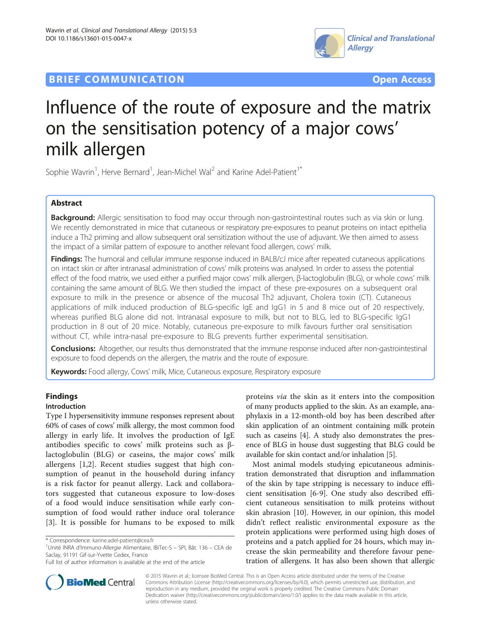



# Influence of the route of exposure and the matrix on the sensitisation potency of a major cows' milk allergen

Sophie Wavrin<sup>1</sup>, Herve Bernard<sup>1</sup>, Jean-Michel Wal<sup>2</sup> and Karine Adel-Patient<sup>1\*</sup>

# Abstract

Background: Allergic sensitisation to food may occur through non-gastrointestinal routes such as via skin or lung. We recently demonstrated in mice that cutaneous or respiratory pre-exposures to peanut proteins on intact epithelia induce a Th2 priming and allow subsequent oral sensitization without the use of adjuvant. We then aimed to assess the impact of a similar pattern of exposure to another relevant food allergen, cows' milk.

Findings: The humoral and cellular immune response induced in BALB/cJ mice after repeated cutaneous applications on intact skin or after intranasal administration of cows' milk proteins was analysed. In order to assess the potential effect of the food matrix, we used either a purified major cows' milk allergen, β-lactoglobulin (BLG), or whole cows' milk containing the same amount of BLG. We then studied the impact of these pre-exposures on a subsequent oral exposure to milk in the presence or absence of the mucosal Th2 adjuvant, Cholera toxin (CT). Cutaneous applications of milk induced production of BLG-specific IgE and IgG1 in 5 and 8 mice out of 20 respectively, whereas purified BLG alone did not. Intranasal exposure to milk, but not to BLG, led to BLG-specific IgG1 production in 8 out of 20 mice. Notably, cutaneous pre-exposure to milk favours further oral sensitisation without CT, while intra-nasal pre-exposure to BLG prevents further experimental sensitisation.

Conclusions: Altogether, our results thus demonstrated that the immune response induced after non-gastrointestinal exposure to food depends on the allergen, the matrix and the route of exposure.

Keywords: Food allergy, Cows' milk, Mice, Cutaneous exposure, Respiratory exposure

# Findings

## Introduction

Type I hypersensitivity immune responses represent about 60% of cases of cows' milk allergy, the most common food allergy in early life. It involves the production of IgE antibodies specific to cows' milk proteins such as βlactoglobulin (BLG) or caseins, the major cows' milk allergens [[1,2\]](#page-6-0). Recent studies suggest that high consumption of peanut in the household during infancy is a risk factor for peanut allergy. Lack and collaborators suggested that cutaneous exposure to low-doses of a food would induce sensitisation while early consumption of food would rather induce oral tolerance [[3\]](#page-6-0). It is possible for humans to be exposed to milk

Unité INRA d'Immuno-Allergie Alimentaire, IBiTec-S – SPI, Bât. 136 – CEA de Saclay, 91191 Gif-sur-Yvette Cedex, France

proteins via the skin as it enters into the composition of many products applied to the skin. As an example, anaphylaxis in a 12-month-old boy has been described after skin application of an ointment containing milk protein such as caseins [\[4](#page-6-0)]. A study also demonstrates the presence of BLG in house dust suggesting that BLG could be available for skin contact and/or inhalation [[5](#page-6-0)].

Most animal models studying epicutaneous administration demonstrated that disruption and inflammation of the skin by tape stripping is necessary to induce efficient sensitisation [\[6-9](#page-6-0)]. One study also described efficient cutaneous sensitisation to milk proteins without skin abrasion [[10\]](#page-6-0). However, in our opinion, this model didn't reflect realistic environmental exposure as the protein applications were performed using high doses of proteins and a patch applied for 24 hours, which may increase the skin permeability and therefore favour penetration of allergens. It has also been shown that allergic



© 2015 Wavrin et al.; licensee BioMed Central. This is an Open Access article distributed under the terms of the Creative Commons Attribution License [\(http://creativecommons.org/licenses/by/4.0\)](http://creativecommons.org/licenses/by/4.0), which permits unrestricted use, distribution, and reproduction in any medium, provided the original work is properly credited. The Creative Commons Public Domain Dedication waiver [\(http://creativecommons.org/publicdomain/zero/1.0/](http://creativecommons.org/publicdomain/zero/1.0/)) applies to the data made available in this article, unless otherwise stated.

<sup>\*</sup> Correspondence: [karine.adel-patient@cea.fr](mailto:karine.adel-patient@cea.fr) <sup>1</sup>

Full list of author information is available at the end of the article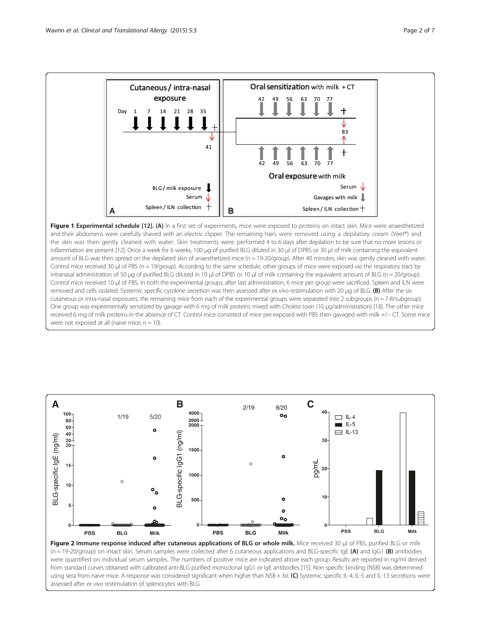<span id="page-1-0"></span>

Figure 1 Experimental schedule [[12](#page-6-0)]. (A) In a first set of experiments, mice were exposed to proteins on intact skin. Mice were anaesthetized and their abdomens were carefully shaved with an electric clipper. The remaining hairs were removed using a depilatory cream (Veet®) and the skin was then gently cleaned with water. Skin treatments were performed 4 to 6 days after depilation to be sure that no more lesions or inflammation are present [\[12\]](#page-6-0). Once a week for 6 weeks, 100 μg of purified BLG diluted in 30 μl of DPBS or 30 μl of milk containing the equivalent amount of BLG was then spread on the depilated skin of anaesthetized mice (n = 19-20/group). After 40 minutes, skin was gently cleaned with water. Control mice received 30 μl of PBS (n = 19/group). According to the same schedule, other groups of mice were exposed via the respiratory tract by intranasal administration of 50 μg of purified BLG diluted in 10 μl of DPBS or 10 μl of milk containing the equivalent amount of BLG (n = 20/group). Control mice received 10 μl of PBS. In both the experimental groups, after last administration, 6 mice per group were sacrificed. Spleen and ILN were removed and cells isolated. Systemic specific cytokine secretion was then assessed after ex vivo restimulation with 20 μg of BLG. (B) After the six cutaneous or intra-nasal exposures, the remaining mice from each of the experimental groups were separated into 2 subgroups (n = 7-8/subgroup). One group was experimentally sensitized by gavage with 6 mg of milk proteins mixed with Cholera toxin (10 μg/administration) [[18](#page-6-0)]. The other mice received 6 mg of milk proteins in the absence of CT. Control mice consisted of mice pre-exposed with PBS then gavaged with milk +/− CT. Some mice were not exposed at all (naive mice;  $n = 10$ ).



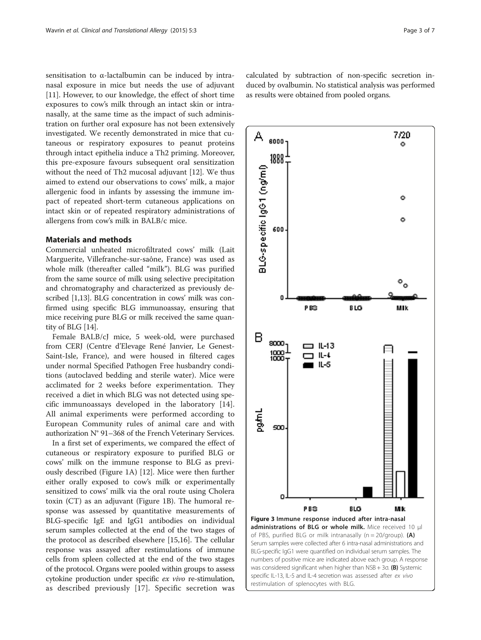<span id="page-2-0"></span>sensitisation to α-lactalbumin can be induced by intranasal exposure in mice but needs the use of adjuvant [[11\]](#page-6-0). However, to our knowledge, the effect of short time exposures to cow's milk through an intact skin or intranasally, at the same time as the impact of such administration on further oral exposure has not been extensively investigated. We recently demonstrated in mice that cutaneous or respiratory exposures to peanut proteins through intact epithelia induce a Th2 priming. Moreover, this pre-exposure favours subsequent oral sensitization without the need of Th2 mucosal adjuvant [[12](#page-6-0)]. We thus aimed to extend our observations to cows' milk, a major allergenic food in infants by assessing the immune impact of repeated short-term cutaneous applications on intact skin or of repeated respiratory administrations of allergens from cow's milk in BALB/c mice.

## Materials and methods

Commercial unheated microfiltrated cows' milk (Lait Marguerite, Villefranche-sur-saône, France) was used as whole milk (thereafter called "milk"). BLG was purified from the same source of milk using selective precipitation and chromatography and characterized as previously described [[1,13](#page-6-0)]. BLG concentration in cows' milk was confirmed using specific BLG immunoassay, ensuring that mice receiving pure BLG or milk received the same quantity of BLG [[14](#page-6-0)].

Female BALB/cJ mice, 5 week-old, were purchased from CERJ (Centre d'Elevage René Janvier, Le Genest-Saint-Isle, France), and were housed in filtered cages under normal Specified Pathogen Free husbandry conditions (autoclaved bedding and sterile water). Mice were acclimated for 2 weeks before experimentation. They received a diet in which BLG was not detected using specific immunoassays developed in the laboratory [\[14](#page-6-0)]. All animal experiments were performed according to European Community rules of animal care and with authorization N° 91–368 of the French Veterinary Services.

In a first set of experiments, we compared the effect of cutaneous or respiratory exposure to purified BLG or cows' milk on the immune response to BLG as previously described (Figure [1A](#page-1-0)) [\[12](#page-6-0)]. Mice were then further either orally exposed to cow's milk or experimentally sensitized to cows' milk via the oral route using Cholera toxin (CT) as an adjuvant (Figure [1](#page-1-0)B). The humoral response was assessed by quantitative measurements of BLG-specific IgE and IgG1 antibodies on individual serum samples collected at the end of the two stages of the protocol as described elsewhere [[15](#page-6-0),[16](#page-6-0)]. The cellular response was assayed after restimulations of immune cells from spleen collected at the end of the two stages of the protocol. Organs were pooled within groups to assess cytokine production under specific ex vivo re-stimulation, as described previously [[17](#page-6-0)]. Specific secretion was

calculated by subtraction of non-specific secretion induced by ovalbumin. No statistical analysis was performed as results were obtained from pooled organs.

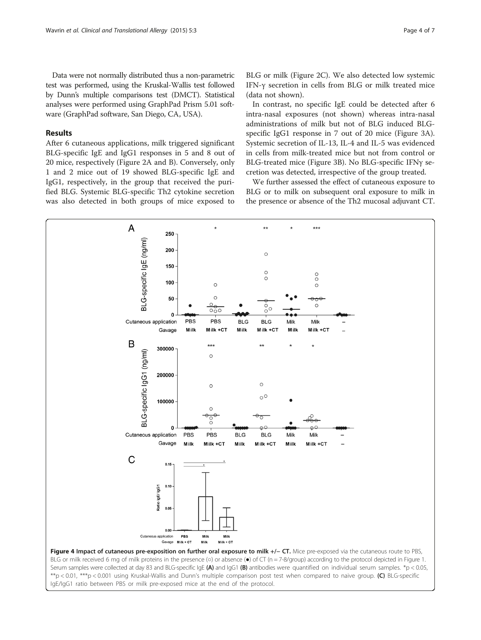<span id="page-3-0"></span>Data were not normally distributed thus a non-parametric test was performed, using the Kruskal-Wallis test followed by Dunn's multiple comparisons test (DMCT). Statistical analyses were performed using GraphPad Prism 5.01 software (GraphPad software, San Diego, CA, USA).

## Results

After 6 cutaneous applications, milk triggered significant BLG-specific IgE and IgG1 responses in 5 and 8 out of 20 mice, respectively (Figure [2](#page-1-0)A and B). Conversely, only 1 and 2 mice out of 19 showed BLG-specific IgE and IgG1, respectively, in the group that received the purified BLG. Systemic BLG-specific Th2 cytokine secretion was also detected in both groups of mice exposed to BLG or milk (Figure [2C](#page-1-0)). We also detected low systemic IFN-γ secretion in cells from BLG or milk treated mice (data not shown).

In contrast, no specific IgE could be detected after 6 intra-nasal exposures (not shown) whereas intra-nasal administrations of milk but not of BLG induced BLGspecific IgG1 response in 7 out of 20 mice (Figure [3](#page-2-0)A). Systemic secretion of IL-13, IL-4 and IL-5 was evidenced in cells from milk-treated mice but not from control or BLG-treated mice (Figure [3B](#page-2-0)). No BLG-specific IFNγ secretion was detected, irrespective of the group treated.

We further assessed the effect of cutaneous exposure to BLG or to milk on subsequent oral exposure to milk in the presence or absence of the Th2 mucosal adjuvant CT.



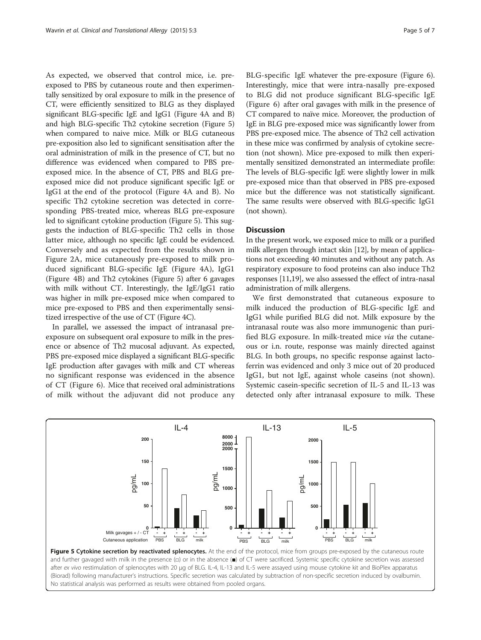As expected, we observed that control mice, i.e. preexposed to PBS by cutaneous route and then experimentally sensitized by oral exposure to milk in the presence of CT, were efficiently sensitized to BLG as they displayed significant BLG-specific IgE and IgG1 (Figure [4A](#page-3-0) and B) and high BLG-specific Th2 cytokine secretion (Figure 5) when compared to naive mice. Milk or BLG cutaneous pre-exposition also led to significant sensitisation after the oral administration of milk in the presence of CT, but no difference was evidenced when compared to PBS preexposed mice. In the absence of CT, PBS and BLG preexposed mice did not produce significant specific IgE or IgG1 at the end of the protocol (Figure [4A](#page-3-0) and B). No specific Th2 cytokine secretion was detected in corresponding PBS-treated mice, whereas BLG pre-exposure led to significant cytokine production (Figure 5). This suggests the induction of BLG-specific Th2 cells in those latter mice, although no specific IgE could be evidenced. Conversely and as expected from the results shown in Figure [2](#page-1-0)A, mice cutaneously pre-exposed to milk produced significant BLG-specific IgE (Figure [4](#page-3-0)A), IgG1 (Figure [4B](#page-3-0)) and Th2 cytokines (Figure 5) after 6 gavages with milk without CT. Interestingly, the IgE/IgG1 ratio was higher in milk pre-exposed mice when compared to mice pre-exposed to PBS and then experimentally sensitized irrespective of the use of CT (Figure [4C](#page-3-0)).

In parallel, we assessed the impact of intranasal preexposure on subsequent oral exposure to milk in the presence or absence of Th2 mucosal adjuvant. As expected, PBS pre-exposed mice displayed a significant BLG-specific IgE production after gavages with milk and CT whereas no significant response was evidenced in the absence of CT (Figure [6\)](#page-5-0). Mice that received oral administrations of milk without the adjuvant did not produce any

BLG-specific IgE whatever the pre-exposure (Figure [6](#page-5-0)). Interestingly, mice that were intra-nasally pre-exposed to BLG did not produce significant BLG-specific IgE (Figure [6\)](#page-5-0) after oral gavages with milk in the presence of CT compared to naïve mice. Moreover, the production of IgE in BLG pre-exposed mice was significantly lower from PBS pre-exposed mice. The absence of Th2 cell activation in these mice was confirmed by analysis of cytokine secretion (not shown). Mice pre-exposed to milk then experimentally sensitized demonstrated an intermediate profile: The levels of BLG-specific IgE were slightly lower in milk pre-exposed mice than that observed in PBS pre-exposed mice but the difference was not statistically significant. The same results were observed with BLG-specific IgG1 (not shown).

## **Discussion**

In the present work, we exposed mice to milk or a purified milk allergen through intact skin [[12\]](#page-6-0), by mean of applications not exceeding 40 minutes and without any patch. As respiratory exposure to food proteins can also induce Th2 responses [\[11,19\]](#page-6-0), we also assessed the effect of intra-nasal administration of milk allergens.

We first demonstrated that cutaneous exposure to milk induced the production of BLG-specific IgE and IgG1 while purified BLG did not. Milk exposure by the intranasal route was also more immunogenic than purified BLG exposure. In milk-treated mice via the cutaneous or i.n. route, response was mainly directed against BLG. In both groups, no specific response against lactoferrin was evidenced and only 3 mice out of 20 produced IgG1, but not IgE, against whole caseins (not shown). Systemic casein-specific secretion of IL-5 and IL-13 was detected only after intranasal exposure to milk. These



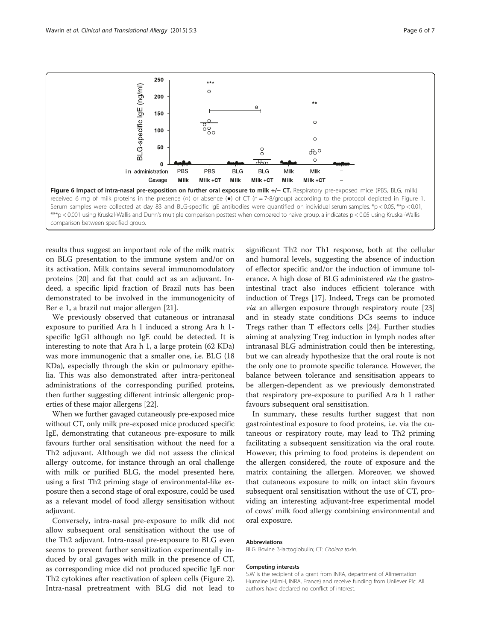<span id="page-5-0"></span>

results thus suggest an important role of the milk matrix on BLG presentation to the immune system and/or on its activation. Milk contains several immunomodulatory proteins [\[20](#page-6-0)] and fat that could act as an adjuvant. Indeed, a specific lipid fraction of Brazil nuts has been demonstrated to be involved in the immunogenicity of Ber e 1, a brazil nut major allergen [[21](#page-6-0)].

We previously observed that cutaneous or intranasal exposure to purified Ara h 1 induced a strong Ara h 1 specific IgG1 although no IgE could be detected. It is interesting to note that Ara h 1, a large protein (62 KDa) was more immunogenic that a smaller one, i.e. BLG (18 KDa), especially through the skin or pulmonary epithelia. This was also demonstrated after intra-peritoneal administrations of the corresponding purified proteins, then further suggesting different intrinsic allergenic properties of these major allergens [\[22\]](#page-6-0).

When we further gavaged cutaneously pre-exposed mice without CT, only milk pre-exposed mice produced specific IgE, demonstrating that cutaneous pre-exposure to milk favours further oral sensitisation without the need for a Th2 adjuvant. Although we did not assess the clinical allergy outcome, for instance through an oral challenge with milk or purified BLG, the model presented here, using a first Th2 priming stage of environmental-like exposure then a second stage of oral exposure, could be used as a relevant model of food allergy sensitisation without adjuvant.

Conversely, intra-nasal pre-exposure to milk did not allow subsequent oral sensitisation without the use of the Th2 adjuvant. Intra-nasal pre-exposure to BLG even seems to prevent further sensitization experimentally induced by oral gavages with milk in the presence of CT, as corresponding mice did not produced specific IgE nor Th2 cytokines after reactivation of spleen cells (Figure [2](#page-1-0)). Intra-nasal pretreatment with BLG did not lead to

significant Th2 nor Th1 response, both at the cellular and humoral levels, suggesting the absence of induction of effector specific and/or the induction of immune tolerance. A high dose of BLG administered via the gastrointestinal tract also induces efficient tolerance with induction of Tregs [[17\]](#page-6-0). Indeed, Tregs can be promoted via an allergen exposure through respiratory route [[23](#page-6-0)] and in steady state conditions DCs seems to induce Tregs rather than T effectors cells [[24](#page-6-0)]. Further studies aiming at analyzing Treg induction in lymph nodes after intranasal BLG administration could then be interesting, but we can already hypothesize that the oral route is not the only one to promote specific tolerance. However, the balance between tolerance and sensitisation appears to be allergen-dependent as we previously demonstrated that respiratory pre-exposure to purified Ara h 1 rather favours subsequent oral sensitisation.

In summary, these results further suggest that non gastrointestinal exposure to food proteins, i.e. via the cutaneous or respiratory route, may lead to Th2 priming facilitating a subsequent sensitization via the oral route. However, this priming to food proteins is dependent on the allergen considered, the route of exposure and the matrix containing the allergen. Moreover, we showed that cutaneous exposure to milk on intact skin favours subsequent oral sensitisation without the use of CT, providing an interesting adjuvant-free experimental model of cows' milk food allergy combining environmental and oral exposure.

#### Abbreviations

BLG: Bovine β-lactoglobulin; CT: Cholera toxin.

#### Competing interests

S.W is the recipient of a grant from INRA, department of Alimentation Humaine (AlimH, INRA, France) and receive funding from Unilever Plc. All authors have declared no conflict of interest.